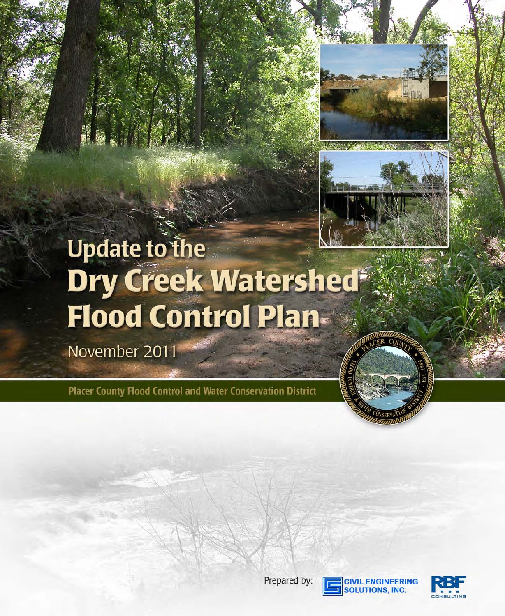



# Update to the<br>Dry Creek Watershed Flood Control Plan-

November 2011

Placer County Flood Control and Water Conservation District





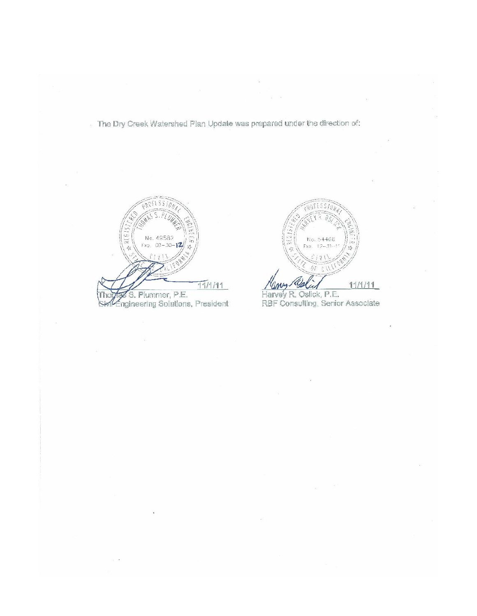The Dry Creek Watershed Plan Update was prepared under the direction of:

No. 49582  $Fx_{2} = 00 - 30 - 12$  $f$  /  $y$  }  $11/111$ Thoras S. Plummer, P.E.<br>Sintengineering Solutions, President



Harvey R. Oslick, P.E.<br>RBF Consulting, Senior Associate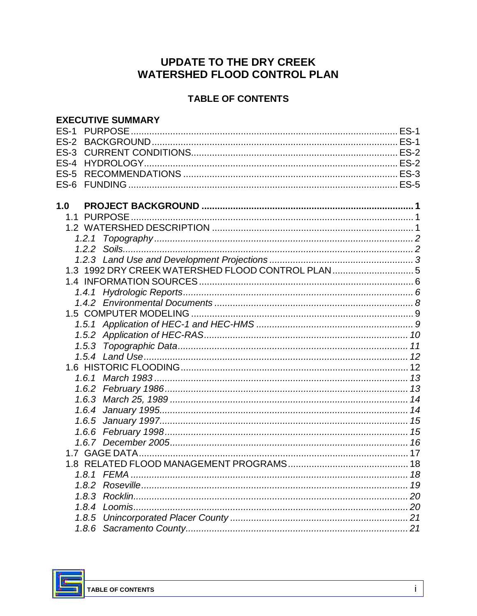# **UPDATE TO THE DRY CREEK WATERSHED FLOOD CONTROL PLAN**

## **TABLE OF CONTENTS**

|        | <b>EXECUTIVE SUMMARY</b>                            |  |
|--------|-----------------------------------------------------|--|
| $ES-1$ | <b>PURPOSE</b>                                      |  |
|        |                                                     |  |
|        |                                                     |  |
|        |                                                     |  |
| $ES-5$ |                                                     |  |
|        |                                                     |  |
|        |                                                     |  |
| 1.0    |                                                     |  |
|        |                                                     |  |
|        |                                                     |  |
|        | 1.2.1                                               |  |
|        |                                                     |  |
|        |                                                     |  |
|        | 1.3 1992 DRY CREEK WATERSHED FLOOD CONTROL PLAN 5   |  |
|        |                                                     |  |
|        |                                                     |  |
|        |                                                     |  |
|        |                                                     |  |
|        |                                                     |  |
|        |                                                     |  |
|        |                                                     |  |
|        | 1.5.4 Land Use………………………………………………………………………………………… 12 |  |
|        |                                                     |  |
|        |                                                     |  |
|        |                                                     |  |
|        |                                                     |  |
|        |                                                     |  |
|        |                                                     |  |
|        |                                                     |  |
|        |                                                     |  |
|        |                                                     |  |
|        | 1.8 RELATED FLOOD MANAGEMENT PROGRAMS               |  |
|        |                                                     |  |
|        |                                                     |  |
|        |                                                     |  |
|        |                                                     |  |
|        |                                                     |  |
|        |                                                     |  |

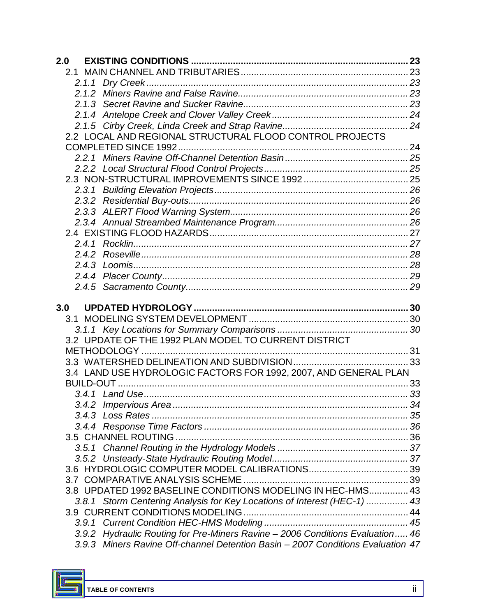| 2.0 |                                                                                                                                                                  |  |
|-----|------------------------------------------------------------------------------------------------------------------------------------------------------------------|--|
|     |                                                                                                                                                                  |  |
|     |                                                                                                                                                                  |  |
|     |                                                                                                                                                                  |  |
|     |                                                                                                                                                                  |  |
|     |                                                                                                                                                                  |  |
|     |                                                                                                                                                                  |  |
|     | 2.2 LOCAL AND REGIONAL STRUCTURAL FLOOD CONTROL PROJECTS                                                                                                         |  |
|     |                                                                                                                                                                  |  |
|     |                                                                                                                                                                  |  |
|     |                                                                                                                                                                  |  |
|     |                                                                                                                                                                  |  |
|     |                                                                                                                                                                  |  |
|     |                                                                                                                                                                  |  |
|     |                                                                                                                                                                  |  |
|     |                                                                                                                                                                  |  |
|     |                                                                                                                                                                  |  |
|     |                                                                                                                                                                  |  |
|     |                                                                                                                                                                  |  |
|     |                                                                                                                                                                  |  |
|     |                                                                                                                                                                  |  |
|     |                                                                                                                                                                  |  |
|     |                                                                                                                                                                  |  |
| 3.0 |                                                                                                                                                                  |  |
|     |                                                                                                                                                                  |  |
|     |                                                                                                                                                                  |  |
|     | 3.2 UPDATE OF THE 1992 PLAN MODEL TO CURRENT DISTRICT                                                                                                            |  |
|     |                                                                                                                                                                  |  |
|     |                                                                                                                                                                  |  |
|     | 3.4 LAND USE HYDROLOGIC FACTORS FOR 1992, 2007, AND GENERAL PLAN                                                                                                 |  |
|     |                                                                                                                                                                  |  |
|     |                                                                                                                                                                  |  |
|     |                                                                                                                                                                  |  |
|     |                                                                                                                                                                  |  |
|     |                                                                                                                                                                  |  |
|     |                                                                                                                                                                  |  |
|     |                                                                                                                                                                  |  |
|     |                                                                                                                                                                  |  |
|     |                                                                                                                                                                  |  |
|     |                                                                                                                                                                  |  |
|     |                                                                                                                                                                  |  |
|     | 3.8 UPDATED 1992 BASELINE CONDITIONS MODELING IN HEC-HMS 43                                                                                                      |  |
|     | 3.8.1 Storm Centering Analysis for Key Locations of Interest (HEC-1)  43                                                                                         |  |
|     |                                                                                                                                                                  |  |
|     |                                                                                                                                                                  |  |
|     | 3.9.2 Hydraulic Routing for Pre-Miners Ravine - 2006 Conditions Evaluation 46<br>3.9.3 Miners Ravine Off-channel Detention Basin - 2007 Conditions Evaluation 47 |  |



E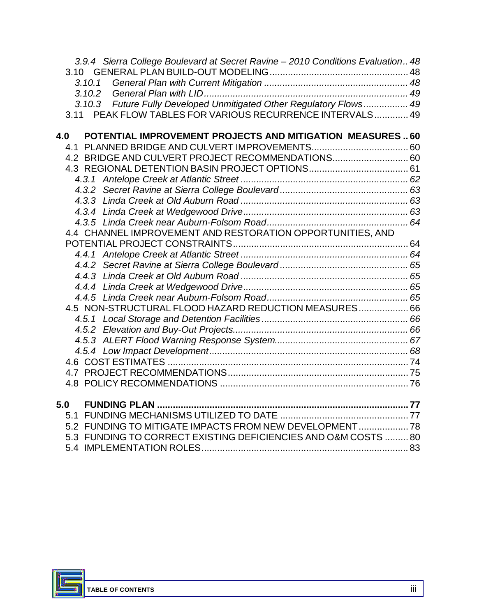|     |      | 3.9.4 Sierra College Boulevard at Secret Ravine - 2010 Conditions Evaluation 48 |  |
|-----|------|---------------------------------------------------------------------------------|--|
|     |      |                                                                                 |  |
|     |      | 3.10.1                                                                          |  |
|     |      | 3.10.2                                                                          |  |
|     |      | 3.10.3 Future Fully Developed Unmitigated Other Regulatory Flows 49             |  |
|     | 3.11 | PEAK FLOW TABLES FOR VARIOUS RECURRENCE INTERVALS 49                            |  |
|     |      |                                                                                 |  |
| 4.0 |      | POTENTIAL IMPROVEMENT PROJECTS AND MITIGATION MEASURES60                        |  |
|     |      |                                                                                 |  |
|     |      | 4.2 BRIDGE AND CULVERT PROJECT RECOMMENDATIONS 60                               |  |
|     |      |                                                                                 |  |
|     |      |                                                                                 |  |
|     |      |                                                                                 |  |
|     |      |                                                                                 |  |
|     |      |                                                                                 |  |
|     |      |                                                                                 |  |
|     |      | 4.4 CHANNEL IMPROVEMENT AND RESTORATION OPPORTUNITIES, AND                      |  |
|     |      |                                                                                 |  |
|     |      |                                                                                 |  |
|     |      |                                                                                 |  |
|     |      |                                                                                 |  |
|     |      |                                                                                 |  |
|     |      |                                                                                 |  |
|     |      | 4.5 NON-STRUCTURAL FLOOD HAZARD REDUCTION MEASURES 66                           |  |
|     |      |                                                                                 |  |
|     |      |                                                                                 |  |
|     |      |                                                                                 |  |
|     |      |                                                                                 |  |
|     |      |                                                                                 |  |
|     |      |                                                                                 |  |
|     |      |                                                                                 |  |
|     |      |                                                                                 |  |
|     | 5.0  |                                                                                 |  |
|     |      |                                                                                 |  |
|     |      | 5.2 FUNDING TO MITIGATE IMPACTS FROM NEW DEVELOPMENT 78                         |  |
|     |      | 5.3 FUNDING TO CORRECT EXISTING DEFICIENCIES AND O&M COSTS  80                  |  |
|     |      |                                                                                 |  |

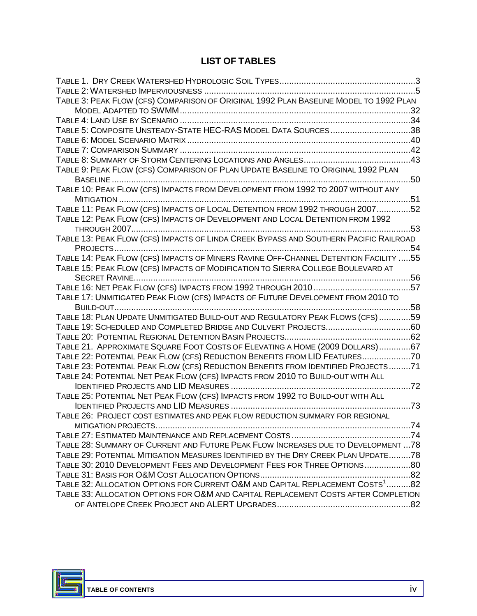### **LIST OF TABLES**

| TABLE 3: PEAK FLOW (CFS) COMPARISON OF ORIGINAL 1992 PLAN BASELINE MODEL TO 1992 PLAN      |      |
|--------------------------------------------------------------------------------------------|------|
|                                                                                            |      |
|                                                                                            |      |
| TABLE 5: COMPOSITE UNSTEADY-STATE HEC-RAS MODEL DATA SOURCES38                             |      |
|                                                                                            |      |
|                                                                                            |      |
|                                                                                            |      |
| TABLE 9: PEAK FLOW (CFS) COMPARISON OF PLAN UPDATE BASELINE TO ORIGINAL 1992 PLAN          |      |
| BASELINE<br>                                                                               | 50   |
| TABLE 10: PEAK FLOW (CFS) IMPACTS FROM DEVELOPMENT FROM 1992 TO 2007 WITHOUT ANY           |      |
|                                                                                            | 51   |
| TABLE 11: PEAK FLOW (CFS) IMPACTS OF LOCAL DETENTION FROM 1992 THROUGH 200752              |      |
| TABLE 12: PEAK FLOW (CFS) IMPACTS OF DEVELOPMENT AND LOCAL DETENTION FROM 1992             |      |
| <b>THROUGH 2007</b>                                                                        | 53   |
| TABLE 13: PEAK FLOW (CFS) IMPACTS OF LINDA CREEK BYPASS AND SOUTHERN PACIFIC RAILROAD      |      |
| PROJECTS                                                                                   | . 54 |
| TABLE 14: PEAK FLOW (CFS) IMPACTS OF MINERS RAVINE OFF-CHANNEL DETENTION FACILITY 55       |      |
| TABLE 15: PEAK FLOW (CFS) IMPACTS OF MODIFICATION TO SIERRA COLLEGE BOULEVARD AT           |      |
| <b>SECRET RAVINE</b>                                                                       |      |
|                                                                                            |      |
| TABLE 17: UNMITIGATED PEAK FLOW (CFS) IMPACTS OF FUTURE DEVELOPMENT FROM 2010 TO           |      |
| 58                                                                                         |      |
| TABLE 18: PLAN UPDATE UNMITIGATED BUILD-OUT AND REGULATORY PEAK FLOWS (CFS) 59             |      |
| TABLE 19: SCHEDULED AND COMPLETED BRIDGE AND CULVERT PROJECTS60                            |      |
|                                                                                            |      |
| TABLE 21. APPROXIMATE SQUARE FOOT COSTS OF ELEVATING A HOME (2009 DOLLARS)67               |      |
| TABLE 22: POTENTIAL PEAK FLOW (CFS) REDUCTION BENEFITS FROM LID FEATURES70                 |      |
| TABLE 23: POTENTIAL PEAK FLOW (CFS) REDUCTION BENEFITS FROM IDENTIFIED PROJECTS71          |      |
| TABLE 24: POTENTIAL NET PEAK FLOW (CFS) IMPACTS FROM 2010 TO BUILD-OUT WITH ALL            |      |
| . 72                                                                                       |      |
| TABLE 25: POTENTIAL NET PEAK FLOW (CFS) IMPACTS FROM 1992 TO BUILD-OUT WITH ALL            |      |
|                                                                                            | .73  |
| TABLE 26: PROJECT COST ESTIMATES AND PEAK FLOW REDUCTION SUMMARY FOR REGIONAL              |      |
|                                                                                            |      |
|                                                                                            |      |
| TABLE 28: SUMMARY OF CURRENT AND FUTURE PEAK FLOW INCREASES DUE TO DEVELOPMENT  78         |      |
| TABLE 29: POTENTIAL MITIGATION MEASURES IDENTIFIED BY THE DRY CREEK PLAN UPDATE78          |      |
| TABLE 30: 2010 DEVELOPMENT FEES AND DEVELOPMENT FEES FOR THREE OPTIONS                     |      |
|                                                                                            |      |
| TABLE 32: ALLOCATION OPTIONS FOR CURRENT O&M AND CAPITAL REPLACEMENT COSTS <sup>1</sup> 82 |      |
| TABLE 33: ALLOCATION OPTIONS FOR O&M AND CAPITAL REPLACEMENT COSTS AFTER COMPLETION        |      |
|                                                                                            |      |
|                                                                                            |      |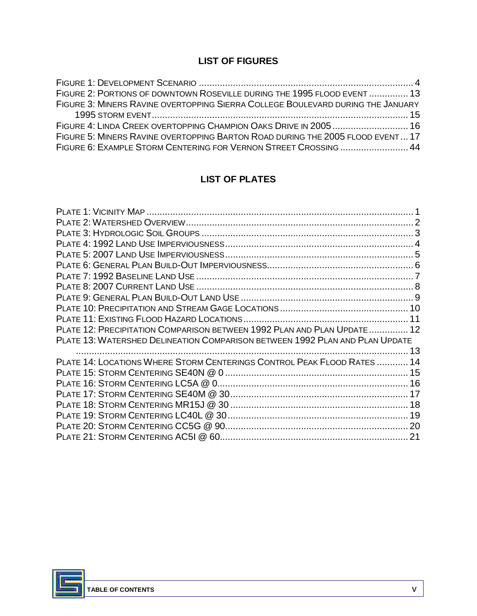## **LIST OF FIGURES**

| FIGURE 2: PORTIONS OF DOWNTOWN ROSEVILLE DURING THE 1995 FLOOD EVENT  13        |
|---------------------------------------------------------------------------------|
| FIGURE 3: MINERS RAVINE OVERTOPPING SIERRA COLLEGE BOULEVARD DURING THE JANUARY |
|                                                                                 |
|                                                                                 |
| FIGURE 5: MINERS RAVINE OVERTOPPING BARTON ROAD DURING THE 2005 FLOOD EVENT 17  |
| FIGURE 6: EXAMPLE STORM CENTERING FOR VERNON STREET CROSSING  44                |

## **LIST OF PLATES**

| PLATE 12: PRECIPITATION COMPARISON BETWEEN 1992 PLAN AND PLAN UPDATE  12     |  |
|------------------------------------------------------------------------------|--|
| PLATE 13: WATERSHED DELINEATION COMPARISON BETWEEN 1992 PLAN AND PLAN UPDATE |  |
|                                                                              |  |
| PLATE 14: LOCATIONS WHERE STORM CENTERINGS CONTROL PEAK FLOOD RATES  14      |  |
|                                                                              |  |
|                                                                              |  |
|                                                                              |  |
|                                                                              |  |
|                                                                              |  |
|                                                                              |  |
|                                                                              |  |